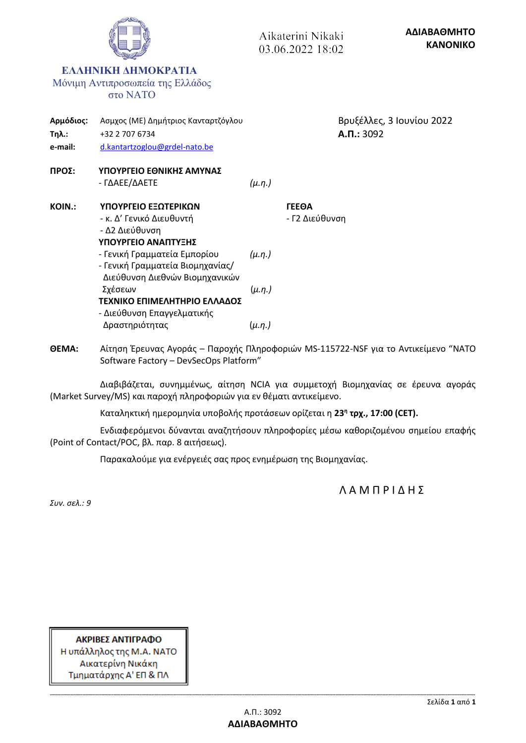|                                      |                                                                                                    |               | Aikaterini Nikaki<br>03.06.2022 18:02 |                                         | ΑΔΙΑΒΑΘΜΗΤΟ<br><b>KANONIKO</b> |
|--------------------------------------|----------------------------------------------------------------------------------------------------|---------------|---------------------------------------|-----------------------------------------|--------------------------------|
|                                      | ΕΛΛΗΝΙΚΗ ΔΗΜΟΚΡΑΤΙΑ<br>Μόνιμη Αντιπροσωπεία της Ελλάδος<br><b>στο ΝΑΤΟ</b>                         |               |                                       |                                         |                                |
| Αρμόδιος:<br><b>Τηλ.:</b><br>e-mail: | Ασμχος (ΜΕ) Δημήτριος Κανταρτζόγλου<br>+32 2 707 6734<br>d.kantartzoglou@grdel-nato.be             |               |                                       | Βρυξέλλες, 3 Ιουνίου 2022<br>A.D.: 3092 |                                |
| ΠΡΟΣ:                                | ΥΠΟΥΡΓΕΙΟ ΕΘΝΙΚΗΣ ΑΜΥΝΑΣ<br>- ΓΔΑΕΕ/ΔΑΕΤΕ                                                          | $(\mu.\eta.)$ |                                       |                                         |                                |
| <b>KOIN.:</b>                        | ΥΠΟΥΡΓΕΙΟ ΕΞΩΤΕΡΙΚΩΝ<br>- κ. Δ' Γενικό Διευθυντή<br>- Δ2 Διεύθυνση<br>ΥΠΟΥΡΓΕΙΟ ΑΝΑΠΤΥΞΗΣ          |               | <b><i>TEEOA</i></b><br>- Γ2 Διεύθυνση |                                         |                                |
|                                      | - Γενική Γραμματεία Εμπορίου<br>- Γενική Γραμματεία Βιομηχανίας/<br>Διεύθυνση Διεθνών Βιομηχανικών | $(\mu.n.)$    |                                       |                                         |                                |
|                                      | Σχέσεων<br>ΤΕΧΝΙΚΟ ΕΠΙΜΕΛΗΤΗΡΙΟ ΕΛΛΑΔΟΣ<br>- Διεύθυνση Επαγγελματικής                              | $(\mu.\eta.)$ |                                       |                                         |                                |
|                                      | Δραστηριότητας                                                                                     | $(\mu.\eta.)$ |                                       |                                         |                                |

**ΘΕΜΑ:** Αίτηση Έρευνας Αγοράς – Παροχής Πληροφοριών MS-115722-NSF για το Αντικείμενο "NATO Software Factory – DevSecOps Platform"

Διαβιβάζεται, συνημμένως, αίτηση NCIA για συμμετοχή Βιομηχανίας σε έρευνα αγοράς (Market Survey/MS) και παροχή πληροφοριών για εν θέματι αντικείμενο.

Καταληκτική ημερομηνία υποβολής προτάσεων ορίζεται η **23 η τρχ., 17:00 (CET).**

Ενδιαφερόμενοι δύνανται αναζητήσουν πληροφορίες μέσω καθοριζομένου σημείου επαφής (Point of Contact/POC, βλ. παρ. 8 αιτήσεως).

Παρακαλούμε για ενέργειές σας προς ενημέρωση της Βιομηχανίας.

Λ Α Μ Π Ρ Ι Δ Η Σ

*Συν. σελ.: 9*

ΑΚΡΙΒΕΣ ΑΝΤΙΓΡΑΦΟ Η υπάλληλος της Μ.Α. ΝΑΤΟ Αικατερίνη Νικάκη Τμηματάρχης Α' ΕΠ & ΠΛ

PO TO HO

**-------------------------------------------------------------------------------------------------------------------------------------------------------------------------------------------------------------------------------------------------------------------------------------------------**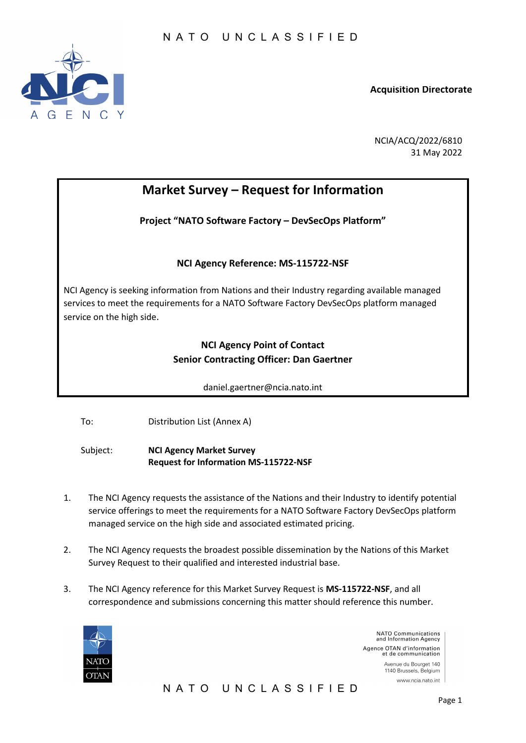

**Acquisition Directorate**

NCIA/ACQ/2022/6810 31 May 2022

# **Market Survey – Request for Information**

**Project "NATO Software Factory – DevSecOps Platform"** 

# **NCI Agency Reference: MS-115722-NSF**

NCI Agency is seeking information from Nations and their Industry regarding available managed services to meet the requirements for a NATO Software Factory DevSecOps platform managed service on the high side.

# **NCI Agency Point of Contact Senior Contracting Officer: Dan Gaertner**

daniel.gaertner@ncia.nato.int

To: Distribution List (Annex A)

Subject: **NCI Agency Market Survey Request for Information MS-115722-NSF**

- 1. The NCI Agency requests the assistance of the Nations and their Industry to identify potential service offerings to meet the requirements for a NATO Software Factory DevSecOps platform managed service on the high side and associated estimated pricing.
- 2. The NCI Agency requests the broadest possible dissemination by the Nations of this Market Survey Request to their qualified and interested industrial base.
- 3. The NCI Agency reference for this Market Survey Request is **MS-115722-NSF**, and all correspondence and submissions concerning this matter should reference this number.



NATO Communications<br>and Information Agency Agence OTAN d'information<br>et de communication Avenue du Bourget 140 1140 Brussels, Belgium www.ncia.nato.int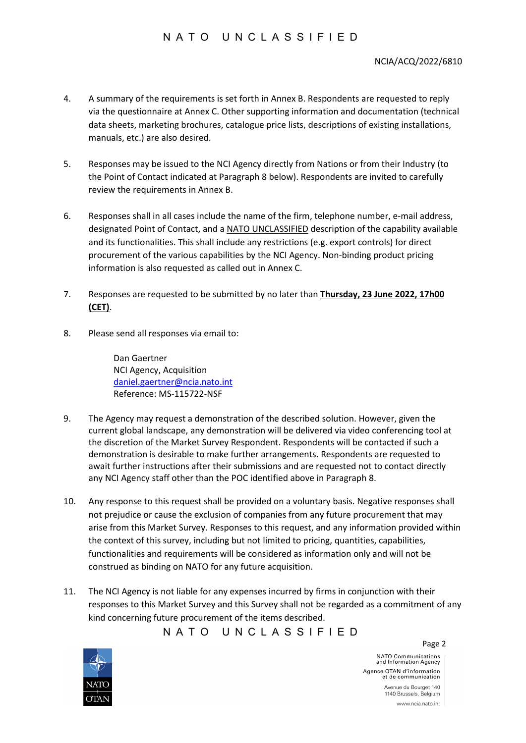# N ATO UNCLASSIFIED

- 4. A summary of the requirements is set forth in Annex B. Respondents are requested to reply via the questionnaire at Annex C. Other supporting information and documentation (technical data sheets, marketing brochures, catalogue price lists, descriptions of existing installations, manuals, etc.) are also desired.
- 5. Responses may be issued to the NCI Agency directly from Nations or from their Industry (to the Point of Contact indicated at Paragraph 8 below). Respondents are invited to carefully review the requirements in Annex B.
- 6. Responses shall in all cases include the name of the firm, telephone number, e-mail address, designated Point of Contact, and a NATO UNCLASSIFIED description of the capability available and its functionalities. This shall include any restrictions (e.g. export controls) for direct procurement of the various capabilities by the NCI Agency. Non-binding product pricing information is also requested as called out in Annex C.
- 7. Responses are requested to be submitted by no later than **Thursday, 23 June 2022, 17h00 (CET)**.
- 8. Please send all responses via email to:

Dan Gaertner NCI Agency, Acquisition [daniel.gaertner@ncia.nato.int](mailto:daniel.gaertner@ncia.nato.int) Reference: MS-115722-NSF

- 9. The Agency may request a demonstration of the described solution. However, given the current global landscape, any demonstration will be delivered via video conferencing tool at the discretion of the Market Survey Respondent. Respondents will be contacted if such a demonstration is desirable to make further arrangements. Respondents are requested to await further instructions after their submissions and are requested not to contact directly any NCI Agency staff other than the POC identified above in Paragraph 8.
- 10. Any response to this request shall be provided on a voluntary basis. Negative responses shall not prejudice or cause the exclusion of companies from any future procurement that may arise from this Market Survey. Responses to this request, and any information provided within the context of this survey, including but not limited to pricing, quantities, capabilities, functionalities and requirements will be considered as information only and will not be construed as binding on NATO for any future acquisition.
- 11. The NCI Agency is not liable for any expenses incurred by firms in conjunction with their responses to this Market Survey and this Survey shall not be regarded as a commitment of any kind concerning future procurement of the items described.

NATO UNCLASSIFIED



NATO Communications<br>and Information Agency Agence OTAN d'information et de communication Avenue du Bourget 140 1140 Brussels, Belgium www.ncia.nato.int

Page 2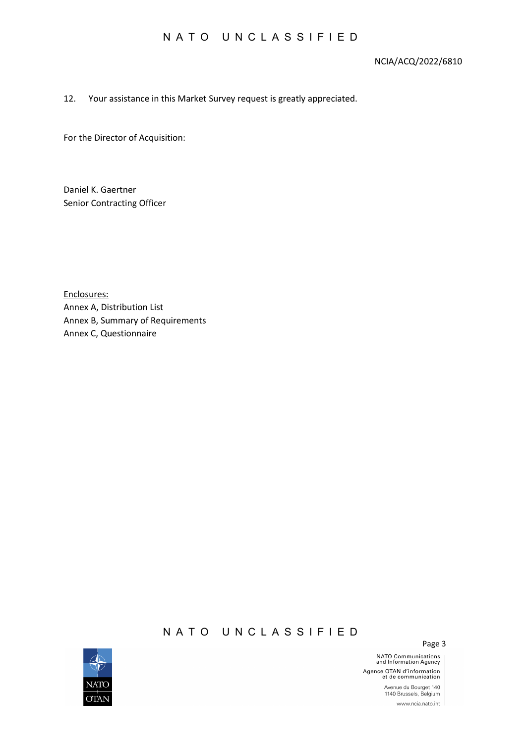# NCIA/ACQ/2022/6810

## 12. Your assistance in this Market Survey request is greatly appreciated.

For the Director of Acquisition:

Daniel K. Gaertner Senior Contracting Officer

Enclosures: Annex A, Distribution List Annex B, Summary of Requirements Annex C, Questionnaire

# NATO UNCLASSIFIED



Page 3

**NATO Communications**<br>and Information Agency Agence OTAN d'information<br>et de communication Avenue du Bourget 140<br>1140 Brussels, Belgium www.ncia.nato.int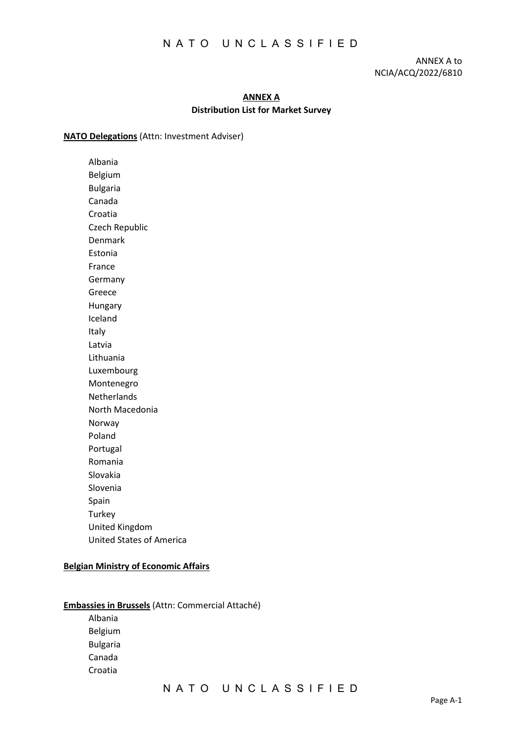ANNEX A to NCIA/ACQ/2022/6810

# **ANNEX A Distribution List for Market Survey**

### **NATO Delegations** (Attn: Investment Adviser)

Albania Belgium Bulgaria Canada Croatia Czech Republic Denmark Estonia France Germany Greece Hungary Iceland Italy Latvia Lithuania Luxembourg Montenegro **Netherlands** North Macedonia Norway Poland Portugal Romania Slovakia Slovenia Spain **Turkey** United Kingdom United States of America

## **Belgian Ministry of Economic Affairs**

**Embassies in Brussels** (Attn: Commercial Attaché) Albania Belgium Bulgaria Canada

Croatia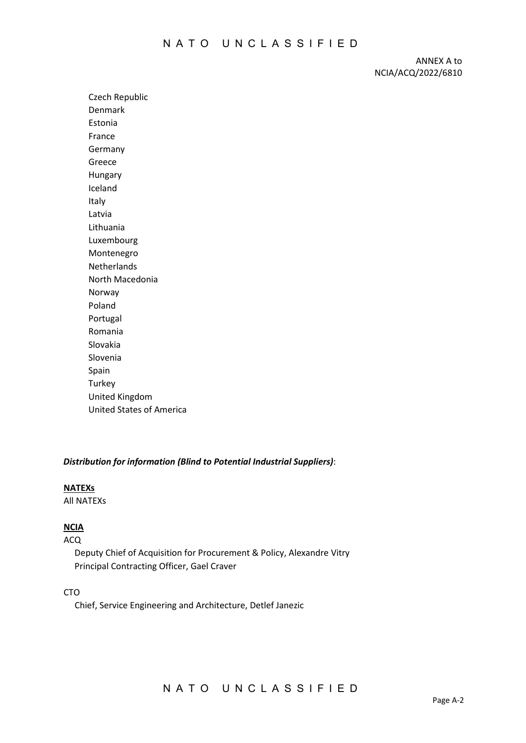ANNEX A to NCIA/ACQ/2022/6810

Czech Republic Denmark Estonia France Germany Greece Hungary Iceland Italy Latvia Lithuania Luxembourg Montenegro Netherlands North Macedonia Norway Poland Portugal Romania Slovakia Slovenia Spain **Turkey** United Kingdom United States of America

## *Distribution for information (Blind to Potential Industrial Suppliers)*:

### **NATEXs**

All NATEXs

# **NCIA**

#### ACQ

 Deputy Chief of Acquisition for Procurement & Policy, Alexandre Vitry Principal Contracting Officer, Gael Craver

### CTO

Chief, Service Engineering and Architecture, Detlef Janezic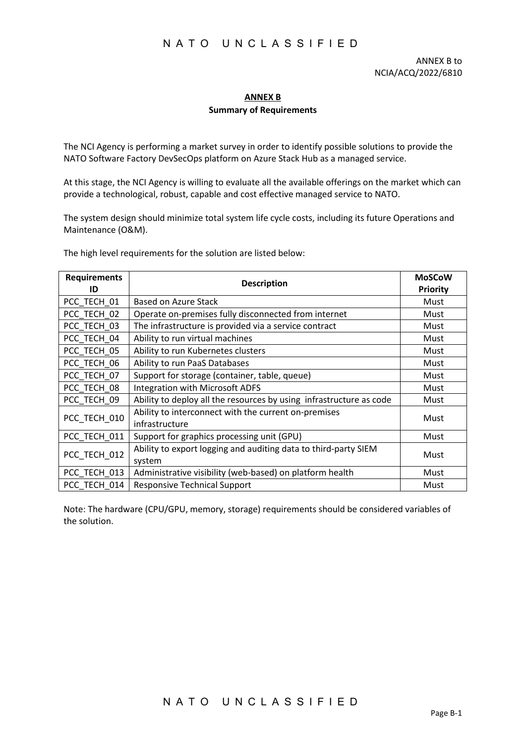# **ANNEX B**

# **Summary of Requirements**

The NCI Agency is performing a market survey in order to identify possible solutions to provide the NATO Software Factory DevSecOps platform on Azure Stack Hub as a managed service.

At this stage, the NCI Agency is willing to evaluate all the available offerings on the market which can provide a technological, robust, capable and cost effective managed service to NATO.

The system design should minimize total system life cycle costs, including its future Operations and Maintenance (O&M).

The high level requirements for the solution are listed below:

| <b>Requirements</b> | <b>Description</b>                                                        | <b>MoSCoW</b> |
|---------------------|---------------------------------------------------------------------------|---------------|
| ID                  |                                                                           |               |
| PCC TECH 01         | Based on Azure Stack                                                      | Must          |
| PCC_TECH_02         | Operate on-premises fully disconnected from internet                      | Must          |
| PCC TECH 03         | The infrastructure is provided via a service contract                     | Must          |
| PCC TECH 04         | Ability to run virtual machines                                           | Must          |
| PCC TECH 05         | Ability to run Kubernetes clusters                                        | Must          |
| PCC TECH 06         | Ability to run PaaS Databases                                             | Must          |
| PCC TECH 07         | Support for storage (container, table, queue)                             | Must          |
| PCC TECH 08         | Integration with Microsoft ADFS                                           | Must          |
| PCC TECH 09         | Ability to deploy all the resources by using infrastructure as code       | Must          |
| PCC_TECH_010        | Ability to interconnect with the current on-premises<br>infrastructure    | Must          |
| PCC TECH 011        | Support for graphics processing unit (GPU)                                | Must          |
| PCC TECH 012        | Ability to export logging and auditing data to third-party SIEM<br>system | Must          |
| PCC TECH 013        | Administrative visibility (web-based) on platform health                  | Must          |
| PCC TECH 014        | <b>Responsive Technical Support</b>                                       | Must          |

Note: The hardware (CPU/GPU, memory, storage) requirements should be considered variables of the solution.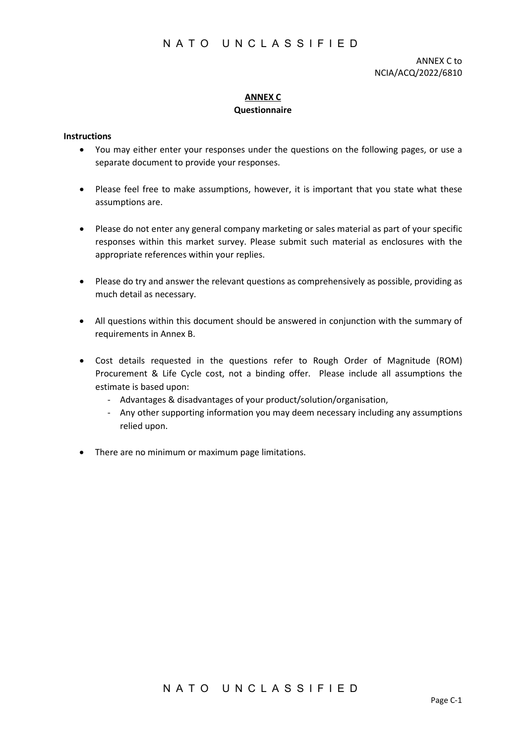ANNEX C to NCIA/ACQ/2022/6810

# **ANNEX C Questionnaire**

# **Instructions**

- You may either enter your responses under the questions on the following pages, or use a separate document to provide your responses.
- Please feel free to make assumptions, however, it is important that you state what these assumptions are.
- Please do not enter any general company marketing or sales material as part of your specific responses within this market survey. Please submit such material as enclosures with the appropriate references within your replies.
- Please do try and answer the relevant questions as comprehensively as possible, providing as much detail as necessary.
- All questions within this document should be answered in conjunction with the summary of requirements in Annex B.
- Cost details requested in the questions refer to Rough Order of Magnitude (ROM) Procurement & Life Cycle cost, not a binding offer. Please include all assumptions the estimate is based upon:
	- Advantages & disadvantages of your product/solution/organisation,
	- Any other supporting information you may deem necessary including any assumptions relied upon.
- There are no minimum or maximum page limitations.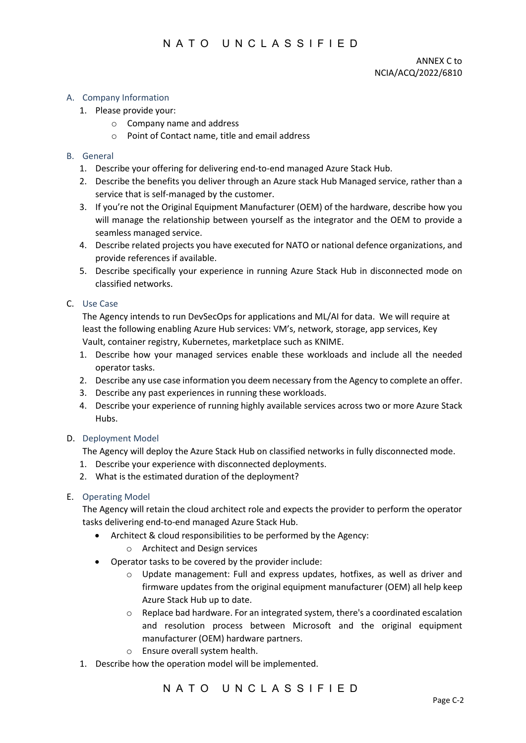## A. Company Information

- 1. Please provide your:
	- o Company name and address
	- o Point of Contact name, title and email address

### B. General

- 1. Describe your offering for delivering end-to-end managed Azure Stack Hub.
- 2. Describe the benefits you deliver through an Azure stack Hub Managed service, rather than a service that is self-managed by the customer.
- 3. If you're not the Original Equipment Manufacturer (OEM) of the hardware, describe how you will manage the relationship between yourself as the integrator and the OEM to provide a seamless managed service.
- 4. Describe related projects you have executed for NATO or national defence organizations, and provide references if available.
- 5. Describe specifically your experience in running Azure Stack Hub in disconnected mode on classified networks.

## C. Use Case

The Agency intends to run DevSecOps for applications and ML/AI for data. We will require at least the following enabling Azure Hub services: VM's, network, storage, app services, Key Vault, container registry, Kubernetes, marketplace such as KNIME.

- 1. Describe how your managed services enable these workloads and include all the needed operator tasks.
- 2. Describe any use case information you deem necessary from the Agency to complete an offer.
- 3. Describe any past experiences in running these workloads.
- 4. Describe your experience of running highly available services across two or more Azure Stack Hubs.

### D. Deployment Model

The Agency will deploy the Azure Stack Hub on classified networks in fully disconnected mode.

- 1. Describe your experience with disconnected deployments.
- 2. What is the estimated duration of the deployment?

### E. Operating Model

The Agency will retain the cloud architect role and expects the provider to perform the operator tasks delivering end-to-end managed Azure Stack Hub.

- Architect & cloud responsibilities to be performed by the Agency:
	- o Architect and Design services
- Operator tasks to be covered by the provider include:
	- o Update management: Full and express updates, hotfixes, as well as driver and firmware updates from the original equipment manufacturer (OEM) all help keep Azure Stack Hub up to date.
	- o Replace bad hardware. For an integrated system, there's a coordinated escalation and resolution process between Microsoft and the original equipment manufacturer (OEM) hardware partners.
	- o Ensure overall system health.
- 1. Describe how the operation model will be implemented.